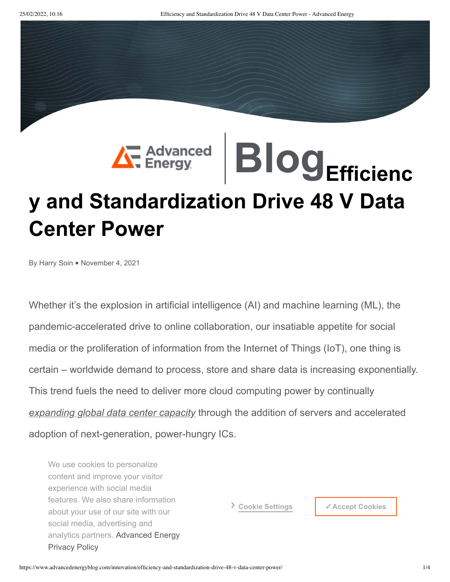## **[Blog](https://www.advancedenergyblog.com/)Efficienc y and Standardization Drive 48 V Data Center Power**

By Harry Soin • November 4, 2021

Whether it's the explosion in artificial intelligence (AI) and machine learning (ML), the pandemic-accelerated drive to online collaboration, our insatiable appetite for social media or the proliferation of information from the Internet of Things (IoT), one thing is certain – worldwide demand to process, store and share data is increasing exponentially. This trend fuels the need to deliver more cloud computing power by continually *[expanding global data center capacity](https://www.advancedenergyblog.com/innovation/powering-every-stream-click-and-download/)* through the addition of servers and accelerated adoption of next-generation, power-hungry ICs.

We use cookies to personalize content and improve your visitor experience with social media features. We also share information about your use of our site with our social media, advertising and analytics partners. [Advanced](https://www.advanced-energy.com/en/privacy.html) Energy Privacy Policy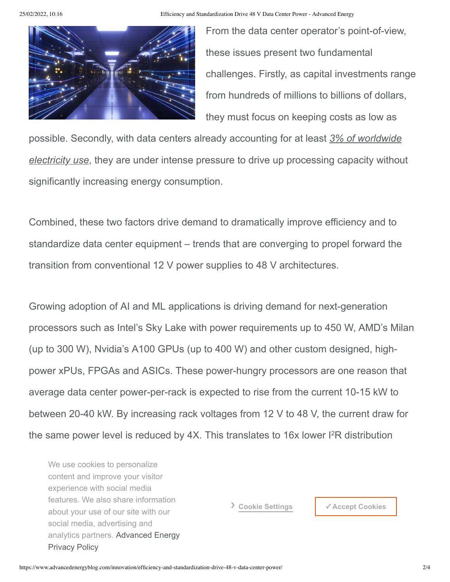25/02/2022, 10:16 Efficiency and Standardization Drive 48 V Data Center Power - Advanced Energy



From the data center operator's point-of-view, these issues present two fundamental challenges. Firstly, as capital investments range from hundreds of millions to billions of dollars, they must focus on keeping costs as low as

possible. Secondly, with data centers already accounting for at least *3% of worldwide electricity use*[, they are under intense pressure to drive up processing capacity withou](https://www.datacenterdynamics.com/en/whitepapers/data-centers-environment-2021-report-state-green-data-center/)t significantly increasing energy consumption.

Combined, these two factors drive demand to dramatically improve efficiency and to standardize data center equipment – trends that are converging to propel forward the transition from conventional 12 V power supplies to 48 V architectures.

Growing adoption of AI and ML applications is driving demand for next-generation processors such as Intel's Sky Lake with power requirements up to 450 W, AMD's Milan (up to 300 W), Nvidia's A100 GPUs (up to 400 W) and other custom designed, highpower xPUs, FPGAs and ASICs. These power-hungry processors are one reason that average data center power-per-rack is expected to rise from the current 10-15 kW to between 20-40 kW. By increasing rack voltages from 12 V to 48 V, the current draw for the same power level is reduced by  $4X$ . This translates to 16x lower  $1^2R$  distribution

losses. features. We also share information and 48 V architectures and 48 V power and 48 V power and 48 V power and 48 V power and 48 V power and 48 V power and 48 V power and 48 V power and 48 V power and 48 V power and 48 V powe schemes. social media, advertising and We use cookies to personalize content and improve your visitor experience with social media about your use of our site with our analytics partners. [Advanced](https://www.advanced-energy.com/en/privacy.html) Energy Privacy Policy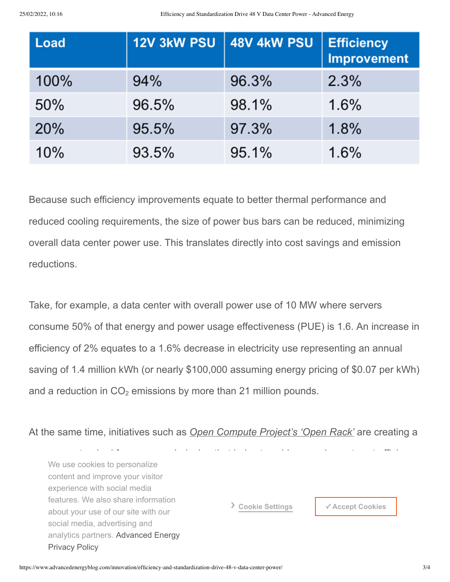| Load       | 12V 3kW PSU | 48V 4kW PSU | <b>Efficiency</b><br><b>Improvement</b> |
|------------|-------------|-------------|-----------------------------------------|
| 100%       | 94%         | 96.3%       | 2.3%                                    |
| 50%        | 96.5%       | 98.1%       | 1.6%                                    |
| <b>20%</b> | 95.5%       | 97.3%       | 1.8%                                    |
| 10%        | 93.5%       | 95.1%       | 1.6%                                    |

Because such efficiency improvements equate to better thermal performance and reduced cooling requirements, the size of power bus bars can be reduced, minimizing overall data center power use. This translates directly into cost savings and emission reductions.

Take, for example, a data center with overall power use of 10 MW where servers consume 50% of that energy and power usage effectiveness (PUE) is 1.6. An increase in efficiency of 2% equates to a 1.6% decrease in electricity use representing an annual saving of 1.4 million kWh (or nearly \$100,000 assuming energy pricing of \$0.07 per kWh) and a reduction in  $CO<sub>2</sub>$  emissions by more than 21 million pounds.

At the same time, initiatives such as *[Open Compute Project's 'Open Rack'](https://www.opencompute.org/wiki/Open_Rack/SpecsAndDesigns)* are creating a

new open standard for server rack design that helps to achieve experiment cost efficiency experiment cost effi<br>In the server rack design that helps to achieve experiment cost efficiency achieve experiment cost efficiency content and improve your visitor. Suppliers and the suppliers of the suppliers of the suppliers of the suppliers of the suppliers. Suppliers are supplied to the suppliers. Suppliers and improve your visitor standardization and internation are designed to lower total cost of our cost of our cost of our cost of our cost of our cost of our cost of our cost of our cost of our cost of our cost of our cost of our cost of our cost o about your dool of our one winning.<br>social media, advertising and analytics partners. Advanced Energy We use cookies to personalize experience with social media about your use of our site with our Privacy Policy